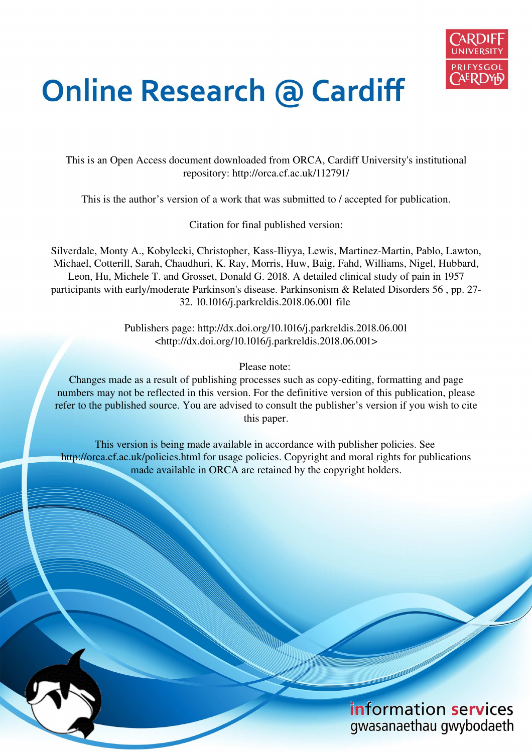

# **Online Research @ Cardiff**

This is an Open Access document downloaded from ORCA, Cardiff University's institutional repository: http://orca.cf.ac.uk/112791/

This is the author's version of a work that was submitted to / accepted for publication.

Citation for final published version:

Silverdale, Monty A., Kobylecki, Christopher, Kass-Iliyya, Lewis, Martinez-Martin, Pablo, Lawton, Michael, Cotterill, Sarah, Chaudhuri, K. Ray, Morris, Huw, Baig, Fahd, Williams, Nigel, Hubbard, Leon, Hu, Michele T. and Grosset, Donald G. 2018. A detailed clinical study of pain in 1957 participants with early/moderate Parkinson's disease. Parkinsonism & Related Disorders 56 , pp. 27- 32. 10.1016/j.parkreldis.2018.06.001 file

> Publishers page: http://dx.doi.org/10.1016/j.parkreldis.2018.06.001 <http://dx.doi.org/10.1016/j.parkreldis.2018.06.001>

> > Please note:

Changes made as a result of publishing processes such as copy-editing, formatting and page numbers may not be reflected in this version. For the definitive version of this publication, please refer to the published source. You are advised to consult the publisher's version if you wish to cite this paper.

This version is being made available in accordance with publisher policies. See http://orca.cf.ac.uk/policies.html for usage policies. Copyright and moral rights for publications made available in ORCA are retained by the copyright holders.

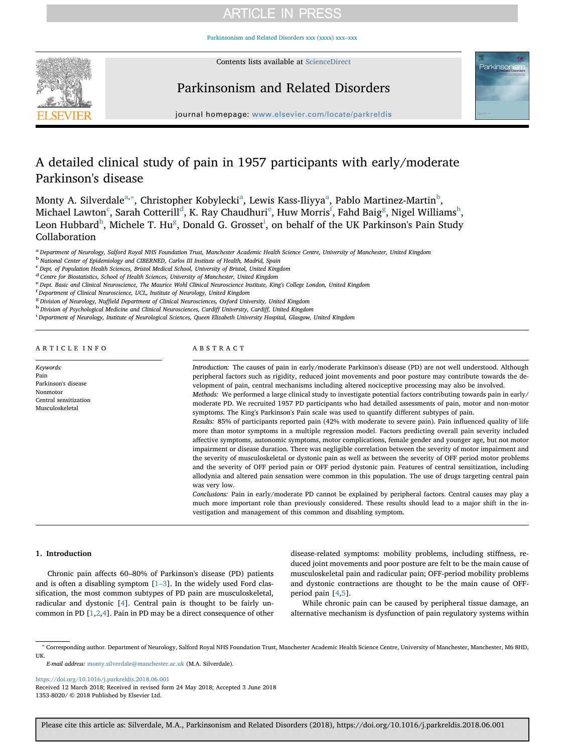# **ARTICLE IN PRESS**

[Parkinsonism and Related Disorders xxx \(xxxx\) xxx–xxx](https://doi.org/10.1016/j.parkreldis.2018.06.001)



Contents lists available at [ScienceDirect](http://www.sciencedirect.com/science/journal/13538020)

# Parkinsonism and Related Disorders



journal homepage: [www.elsevier.com/locate/parkreldis](https://www.elsevier.com/locate/parkreldis)

# A detailed clinical study of pain in 1957 participants with early/moderate Parkinson's disease

Monty A. Silverd[a](#page-1-0)le<sup>a,</sup>\*, Christopher Ko[b](#page-1-2)ylecki<sup>a</sup>, Lewis Kass-Iliyya<sup>a</sup>, Pablo Martinez-Martin<sup>b</sup>, Mi[c](#page-1-3)ha[e](#page-1-5)l Lawton $^{\rm c}$ , Sara[h](#page-1-8) Cotterill $^{\rm d}$  $^{\rm d}$  $^{\rm d}$ , K. Ray Chaudhuri $^{\rm e}$ , Huw Morris $^{\rm f}$  $^{\rm f}$  $^{\rm f}$ , Fahd Bai[g](#page-1-7) $^{\rm g}$ , Nigel Williams $^{\rm h}$ , Leon Hubbard<sup>[h](#page-1-8)</sup>, Michele T. Hu<sup>[g](#page-1-7)</sup>, Donald G. Grosset<sup>[i](#page-1-9)</sup>, on behalf of the UK Parkinson's Pain Study Collaboration

<span id="page-1-0"></span>a *Department of Neurology, Salford Royal NHS Foundation Trust, Manchester Academic Health Science Centre, University of Manchester, United Kingdom*

<span id="page-1-3"></span>c *Dept. of Population Health Sciences, Bristol Medical School, University of Bristol, United Kingdom*

<span id="page-1-5"></span>e *Dept. Basic and Clinical Neuroscience, The Maurice Wohl Clinical Neuroscience Institute, King's College London, United Kingdom*

<span id="page-1-6"></span>f *Department of Clinical Neuroscience, UCL, Institute of Neurology, United Kingdom*

<span id="page-1-7"></span>g *Division of Neurology, Nu*ffi*eld Department of Clinical Neurosciences, Oxford University, United Kingdom*

<span id="page-1-8"></span>h *Division of Psychological Medicine and Clinical Neurosciences, Cardi*ff *University, Cardi*ff*, United Kingdom*

<span id="page-1-9"></span>i *Department of Neurology, Institute of Neurological Sciences, Queen Elizabeth University Hospital, Glasgow, United Kingdom*

#### ARTICLE INFO

*Keywords:* Pain

Parkinson's disease Nonmotor Central sensitization Musculoskeletal

# ABSTRACT

*Introduction:* The causes of pain in early/moderate Parkinson's disease (PD) are not well understood. Although peripheral factors such as rigidity, reduced joint movements and poor posture may contribute towards the development of pain, central mechanisms including altered nociceptive processing may also be involved. *Methods:* We performed a large clinical study to investigate potential factors contributing towards pain in early/ moderate PD. We recruited 1957 PD participants who had detailed assessments of pain, motor and non-motor symptoms. The King's Parkinson's Pain scale was used to quantify different subtypes of pain. *Results:* 85% of participants reported pain (42% with moderate to severe pain). Pain influenced quality of life more than motor symptoms in a multiple regression model. Factors predicting overall pain severity included affective symptoms, autonomic symptoms, motor complications, female gender and younger age, but not motor impairment or disease duration. There was negligible correlation between the severity of motor impairment and the severity of musculoskeletal or dystonic pain as well as between the severity of OFF period motor problems and the severity of OFF period pain or OFF period dystonic pain. Features of central sensitization, including allodynia and altered pain sensation were common in this population. The use of drugs targeting central pain

was very low. *Conclusions:* Pain in early/moderate PD cannot be explained by peripheral factors. Central causes may play a much more important role than previously considered. These results should lead to a major shift in the investigation and management of this common and disabling symptom.

#### 1. Introduction

Chronic pain affects 60–80% of Parkinson's disease (PD) patients and is often a disabling symptom [\[1](#page-6-0)–3]. In the widely used Ford classification, the most common subtypes of PD pain are musculoskeletal, radicular and dystonic [\[4\]](#page-6-1). Central pain is thought to be fairly uncommon in PD [[1](#page-6-0)[,2,](#page-6-2)[4](#page-6-1)]. Pain in PD may be a direct consequence of other

disease-related symptoms: mobility problems, including stiffness, reduced joint movements and poor posture are felt to be the main cause of musculoskeletal pain and radicular pain; OFF-period mobility problems and dystonic contractions are thought to be the main cause of OFFperiod pain [\[4](#page-6-1)[,5\]](#page-6-3).

While chronic pain can be caused by peripheral tissue damage, an alternative mechanism is dysfunction of pain regulatory systems within

<span id="page-1-1"></span>∗ Corresponding author. Department of Neurology, Salford Royal NHS Foundation Trust, Manchester Academic Health Science Centre, University of Manchester, Manchester, M6 8HD, **IK** 

*E-mail address:* [monty.silverdale@manchester.ac.uk](mailto:monty.silverdale@manchester.ac.uk) (M.A. Silverdale).

<https://doi.org/10.1016/j.parkreldis.2018.06.001>

Received 12 March 2018; Received in revised form 24 May 2018; Accepted 3 June 2018 1353-8020/ © 2018 Published by Elsevier Ltd.

Please cite this article as: Silverdale, M.A., Parkinsonism and Related Disorders (2018), https://doi.org/10.1016/j.parkreldis.2018.06.001

<span id="page-1-2"></span>b *National Center of Epidemiology and CIBERNED, Carlos III Institute of Health, Madrid, Spain*

<span id="page-1-4"></span>d *Centre for Biostatistics, School of Health Sciences, University of Manchester, United Kingdom*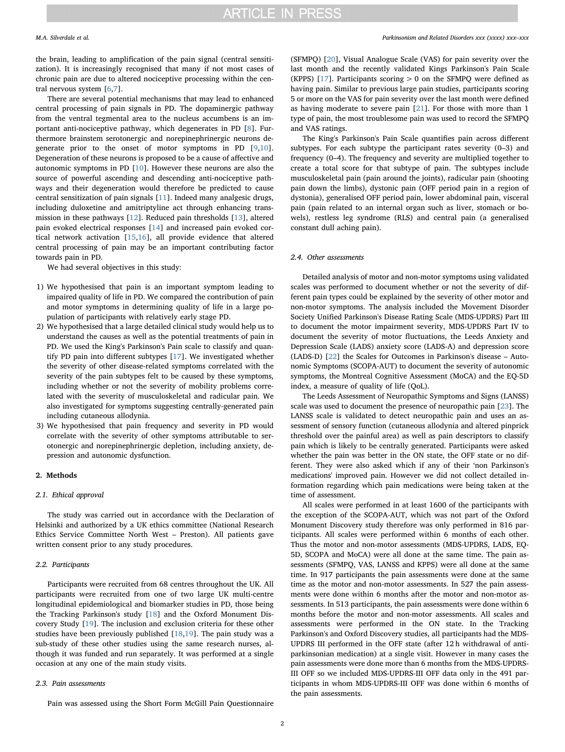the brain, leading to amplification of the pain signal (central sensitization). It is increasingly recognised that many if not most cases of chronic pain are due to altered nociceptive processing within the central nervous system [[6](#page-6-4),[7](#page-6-5)].

There are several potential mechanisms that may lead to enhanced central processing of pain signals in PD. The dopaminergic pathway from the ventral tegmental area to the nucleus accumbens is an important anti-nociceptive pathway, which degenerates in PD [[8](#page-6-6)]. Furthermore brainstem serotonergic and norepinephrinergic neurons degenerate prior to the onset of motor symptoms in PD [\[9,](#page-6-7)[10](#page-6-8)]. Degeneration of these neurons is proposed to be a cause of affective and autonomic symptoms in PD [[10\]](#page-6-8). However these neurons are also the source of powerful ascending and descending anti-nociceptive pathways and their degeneration would therefore be predicted to cause central sensitization of pain signals [\[11](#page-6-9)]. Indeed many analgesic drugs, including duloxetine and amitriptyline act through enhancing transmission in these pathways [[12\]](#page-6-10). Reduced pain thresholds [[13\]](#page-6-11), altered pain evoked electrical responses [\[14](#page-6-12)] and increased pain evoked cortical network activation [\[15](#page-6-13),[16\]](#page-6-14), all provide evidence that altered central processing of pain may be an important contributing factor towards pain in PD.

We had several objectives in this study:

- 1) We hypothesised that pain is an important symptom leading to impaired quality of life in PD. We compared the contribution of pain and motor symptoms in determining quality of life in a large population of participants with relatively early stage PD.
- 2) We hypothesised that a large detailed clinical study would help us to understand the causes as well as the potential treatments of pain in PD. We used the King's Parkinson's Pain scale to classify and quantify PD pain into different subtypes [\[17](#page-6-15)]. We investigated whether the severity of other disease-related symptoms correlated with the severity of the pain subtypes felt to be caused by these symptoms, including whether or not the severity of mobility problems correlated with the severity of musculoskeletal and radicular pain. We also investigated for symptoms suggesting centrally-generated pain including cutaneous allodynia.
- 3) We hypothesised that pain frequency and severity in PD would correlate with the severity of other symptoms attributable to serotonergic and norepinephrinergic depletion, including anxiety, depression and autonomic dysfunction.

#### 2. Methods

#### *2.1. Ethical approval*

The study was carried out in accordance with the Declaration of Helsinki and authorized by a UK ethics committee (National Research Ethics Service Committee North West – Preston). All patients gave written consent prior to any study procedures.

#### *2.2. Participants*

Participants were recruited from 68 centres throughout the UK. All participants were recruited from one of two large UK multi-centre longitudinal epidemiological and biomarker studies in PD, those being the Tracking Parkinson's study [[18\]](#page-6-16) and the Oxford Monument Discovery Study [[19\]](#page-6-17). The inclusion and exclusion criteria for these other studies have been previously published [[18,](#page-6-16)[19\]](#page-6-17). The pain study was a sub-study of these other studies using the same research nurses, although it was funded and run separately. It was performed at a single occasion at any one of the main study visits.

#### *2.3. Pain assessments*

Pain was assessed using the Short Form McGill Pain Questionnaire

(SFMPQ) [[20\]](#page-6-18), Visual Analogue Scale (VAS) for pain severity over the last month and the recently validated Kings Parkinson's Pain Scale (KPPS) [[17\]](#page-6-15). Participants scoring  $> 0$  on the SFMPQ were defined as having pain. Similar to previous large pain studies, participants scoring 5 or more on the VAS for pain severity over the last month were defined as having moderate to severe pain [[21\]](#page-6-19). For those with more than 1 type of pain, the most troublesome pain was used to record the SFMPQ and VAS ratings.

The King's Parkinson's Pain Scale quantifies pain across different subtypes. For each subtype the participant rates severity (0–3) and frequency (0–4). The frequency and severity are multiplied together to create a total score for that subtype of pain. The subtypes include musculoskeletal pain (pain around the joints), radicular pain (shooting pain down the limbs), dystonic pain (OFF period pain in a region of dystonia), generalised OFF period pain, lower abdominal pain, visceral pain (pain related to an internal organ such as liver, stomach or bowels), restless leg syndrome (RLS) and central pain (a generalised constant dull aching pain).

#### *2.4. Other assessments*

Detailed analysis of motor and non-motor symptoms using validated scales was performed to document whether or not the severity of different pain types could be explained by the severity of other motor and non-motor symptoms. The analysis included the Movement Disorder Society Unified Parkinson's Disease Rating Scale (MDS-UPDRS) Part III to document the motor impairment severity, MDS-UPDRS Part IV to document the severity of motor fluctuations, the Leeds Anxiety and Depression Scale (LADS) anxiety score (LADS-A) and depression score (LADS-D) [\[22](#page-6-20)] the Scales for Outcomes in Parkinson's disease – Autonomic Symptoms (SCOPA-AUT) to document the severity of autonomic symptoms, the Montreal Cognitive Assessment (MoCA) and the EQ-5D index, a measure of quality of life (QoL).

The Leeds Assessment of Neuropathic Symptoms and Signs (LANSS) scale was used to document the presence of neuropathic pain [[23\]](#page-6-21). The LANSS scale is validated to detect neuropathic pain and uses an assessment of sensory function (cutaneous allodynia and altered pinprick threshold over the painful area) as well as pain descriptors to classify pain which is likely to be centrally generated. Participants were asked whether the pain was better in the ON state, the OFF state or no different. They were also asked which if any of their 'non Parkinson's medications' improved pain. However we did not collect detailed information regarding which pain medications were being taken at the time of assessment.

All scales were performed in at least 1600 of the participants with the exception of the SCOPA-AUT, which was not part of the Oxford Monument Discovery study therefore was only performed in 816 participants. All scales were performed within 6 months of each other. Thus the motor and non-motor assessments (MDS-UPDRS, LADS, EQ-5D, SCOPA and MoCA) were all done at the same time. The pain assessments (SFMPQ, VAS, LANSS and KPPS) were all done at the same time. In 917 participants the pain assessments were done at the same time as the motor and non-motor assessments. In 527 the pain assessments were done within 6 months after the motor and non-motor assessments. In 513 participants, the pain assessments were done within 6 months before the motor and non-motor assessments. All scales and assessments were performed in the ON state. In the Tracking Parkinson's and Oxford Discovery studies, all participants had the MDS-UPDRS III performed in the OFF state (after 12 h withdrawal of antiparkinsonian medication) at a single visit. However in many cases the pain assessments were done more than 6 months from the MDS-UPDRS-III OFF so we included MDS-UPDRS-III OFF data only in the 491 participants in whom MDS-UPDRS-III OFF was done within 6 months of the pain assessments.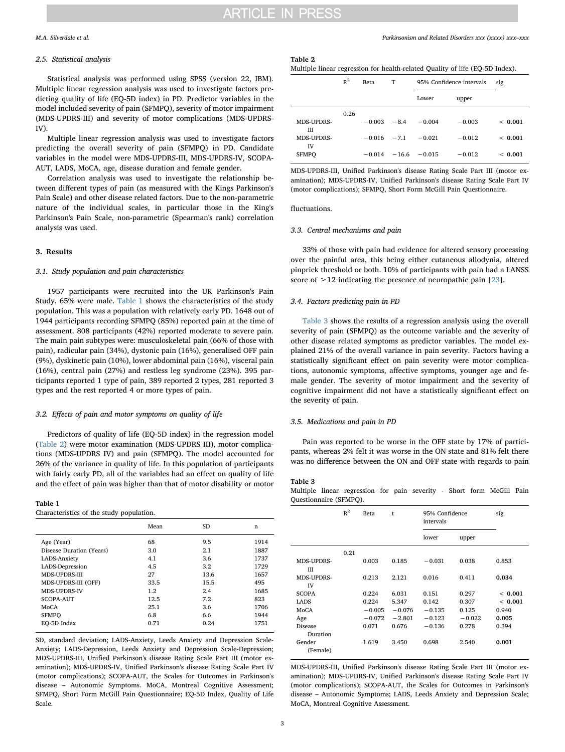# **ARTICLE IN PRESS**

#### *2.5. Statistical analysis*

Statistical analysis was performed using SPSS (version 22, IBM). Multiple linear regression analysis was used to investigate factors predicting quality of life (EQ-5D index) in PD. Predictor variables in the model included severity of pain (SFMPQ), severity of motor impairment (MDS-UPDRS-III) and severity of motor complications (MDS-UPDRS-IV).

Multiple linear regression analysis was used to investigate factors predicting the overall severity of pain (SFMPQ) in PD. Candidate variables in the model were MDS-UPDRS-III, MDS-UPDRS-IV, SCOPA-AUT, LADS, MoCA, age, disease duration and female gender.

Correlation analysis was used to investigate the relationship between different types of pain (as measured with the Kings Parkinson's Pain Scale) and other disease related factors. Due to the non-parametric nature of the individual scales, in particular those in the King's Parkinson's Pain Scale, non-parametric (Spearman's rank) correlation analysis was used.

#### 3. Results

#### *3.1. Study population and pain characteristics*

1957 participants were recruited into the UK Parkinson's Pain Study. 65% were male. [Table 1](#page-3-0) shows the characteristics of the study population. This was a population with relatively early PD. 1648 out of 1944 participants recording SFMPQ (85%) reported pain at the time of assessment. 808 participants (42%) reported moderate to severe pain. The main pain subtypes were: musculoskeletal pain (66% of those with pain), radicular pain (34%), dystonic pain (16%), generalised OFF pain (9%), dyskinetic pain (10%), lower abdominal pain (16%), visceral pain (16%), central pain (27%) and restless leg syndrome (23%). 395 participants reported 1 type of pain, 389 reported 2 types, 281 reported 3 types and the rest reported 4 or more types of pain.

#### *3.2. E*ff*ects of pain and motor symptoms on quality of life*

Predictors of quality of life (EQ-5D index) in the regression model ([Table 2](#page-3-1)) were motor examination (MDS-UPDRS III), motor complications (MDS-UPDRS IV) and pain (SFMPQ). The model accounted for 26% of the variance in quality of life. In this population of participants with fairly early PD, all of the variables had an effect on quality of life and the effect of pain was higher than that of motor disability or motor

#### <span id="page-3-0"></span>Table 1

Characteristics of the study population.

|                          | Mean | SD.  | n    |
|--------------------------|------|------|------|
| Age (Year)               | 68   | 9.5  | 1914 |
| Disease Duration (Years) | 3.0  | 2.1  | 1887 |
| LADS-Anxiety             | 4.1  | 3.6  | 1737 |
| LADS-Depression          | 4.5  | 3.2  | 1729 |
| MDS-UPDRS-III            | 27   | 13.6 | 1657 |
| MDS-UPDRS-III (OFF)      | 33.5 | 15.5 | 495  |
| <b>MDS-UPDRS-IV</b>      | 1.2  | 2.4  | 1685 |
| SCOPA-AUT                | 12.5 | 7.2  | 823  |
| MoCA                     | 25.1 | 3.6  | 1706 |
| <b>SFMPO</b>             | 6.8  | 6.6  | 1944 |
| EO-5D Index              | 0.71 | 0.24 | 1751 |

SD, standard deviation; LADS-Anxiety, Leeds Anxiety and Depression Scale-Anxiety; LADS-Depression, Leeds Anxiety and Depression Scale-Depression; MDS-UPDRS-III, Unified Parkinson's disease Rating Scale Part III (motor examination); MDS-UPDRS-IV, Unified Parkinson's disease Rating Scale Part IV (motor complications); SCOPA-AUT, the Scales for Outcomes in Parkinson's disease – Autonomic Symptoms. MoCA, Montreal Cognitive Assessment; SFMPQ, Short Form McGill Pain Questionnaire; EQ-5D Index, Quality of Life Scale.

#### *M.A. Silverdale et al. Parkinsonism and Related Disorders xxx (xxxx) xxx–xxx*

#### <span id="page-3-1"></span>Table 2

| Multiple linear regression for health-related Quality of life (EQ-5D Index). |  |  |  |  |  |  |  |  |
|------------------------------------------------------------------------------|--|--|--|--|--|--|--|--|
|------------------------------------------------------------------------------|--|--|--|--|--|--|--|--|

|                       | $R^2$ | <b>Beta</b>   | т       | 95% Confidence intervals |          | sig     |
|-----------------------|-------|---------------|---------|--------------------------|----------|---------|
|                       |       |               |         | Lower                    | upper    |         |
|                       | 0.26  |               |         |                          |          |         |
| MDS-UPDRS-            |       | $-0.003$      | $-8.4$  | $-0.004$                 | $-0.003$ | < 0.001 |
| Ш<br>MDS-UPDRS-<br>IV |       | $-0.016 -7.1$ |         | $-0.021$                 | $-0.012$ | < 0.001 |
| <b>SFMPO</b>          |       | $-0.014$      | $-16.6$ | $-0.015$                 | $-0.012$ | < 0.001 |

MDS-UPDRS-III, Unified Parkinson's disease Rating Scale Part III (motor examination); MDS-UPDRS-IV, Unified Parkinson's disease Rating Scale Part IV (motor complications); SFMPQ, Short Form McGill Pain Questionnaire.

#### fluctuations.

#### *3.3. Central mechanisms and pain*

33% of those with pain had evidence for altered sensory processing over the painful area, this being either cutaneous allodynia, altered pinprick threshold or both. 10% of participants with pain had a LANSS score of  $\geq$  12 indicating the presence of neuropathic pain [\[23](#page-6-21)].

#### *3.4. Factors predicting pain in PD*

[Table 3](#page-3-2) shows the results of a regression analysis using the overall severity of pain (SFMPQ) as the outcome variable and the severity of other disease related symptoms as predictor variables. The model explained 21% of the overall variance in pain severity. Factors having a statistically significant effect on pain severity were motor complications, autonomic symptoms, affective symptoms, younger age and female gender. The severity of motor impairment and the severity of cognitive impairment did not have a statistically significant effect on the severity of pain.

#### *3.5. Medications and pain in PD*

Pain was reported to be worse in the OFF state by 17% of participants, whereas 2% felt it was worse in the ON state and 81% felt there was no difference between the ON and OFF state with regards to pain

#### <span id="page-3-2"></span>Table 3

Multiple linear regression for pain severity - Short form McGill Pain Questionnaire (SFMPQ).

|                   | $R^2$ | Beta     | $\ddagger$ | 95% Confidence<br>intervals |          | sig     |
|-------------------|-------|----------|------------|-----------------------------|----------|---------|
|                   |       |          |            | lower                       | upper    |         |
|                   | 0.21  |          |            |                             |          |         |
| <b>MDS-UPDRS-</b> |       | 0.003    | 0.185      | $-0.031$                    | 0.038    | 0.853   |
| Ш                 |       |          |            |                             |          |         |
| <b>MDS-UPDRS-</b> |       | 0.213    | 2.121      | 0.016                       | 0.411    | 0.034   |
| IV                |       |          |            |                             |          |         |
| <b>SCOPA</b>      |       | 0.224    | 6.031      | 0.151                       | 0.297    | < 0.001 |
| LADS              |       | 0.224    | 5.347      | 0.142                       | 0.307    | < 0.001 |
| MoCA              |       | $-0.005$ | $-0.076$   | $-0.135$                    | 0.125    | 0.940   |
| Age               |       | $-0.072$ | $-2.801$   | $-0.123$                    | $-0.022$ | 0.005   |
| <b>Disease</b>    |       | 0.071    | 0.676      | $-0.136$                    | 0.278    | 0.394   |
| Duration          |       |          |            |                             |          |         |
| Gender            |       | 1.619    | 3.450      | 0.698                       | 2.540    | 0.001   |
| (Female)          |       |          |            |                             |          |         |
|                   |       |          |            |                             |          |         |

MDS-UPDRS-III, Unified Parkinson's disease Rating Scale Part III (motor examination); MDS-UPDRS-IV, Unified Parkinson's disease Rating Scale Part IV (motor complications); SCOPA-AUT, the Scales for Outcomes in Parkinson's disease – Autonomic Symptoms; LADS, Leeds Anxiety and Depression Scale; MoCA, Montreal Cognitive Assessment.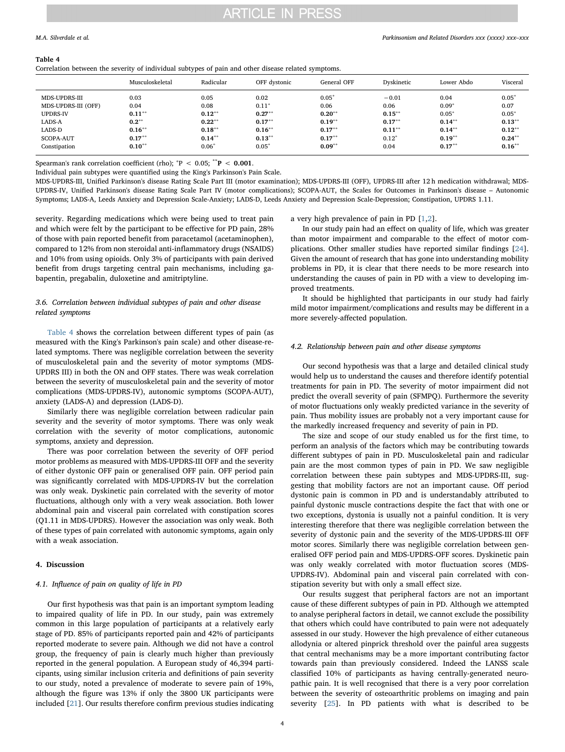# **ARTICLE IN PRESS**

#### <span id="page-4-0"></span>Table 4

Correlation between the severity of individual subtypes of pain and other disease related symptoms.

|                     | Musculoskeletal | Radicular | OFF dystonic | General OFF | Dyskinetic | Lower Abdo | Visceral  |
|---------------------|-----------------|-----------|--------------|-------------|------------|------------|-----------|
| MDS-UPDRS-III       | 0.03            | 0.05      | 0.02         | $0.05*$     | $-0.01$    | 0.04       | $0.05*$   |
| MDS-UPDRS-III (OFF) | 0.04            | 0.08      | $0.11*$      | 0.06        | 0.06       | $0.09*$    | 0.07      |
| <b>UPDRS-IV</b>     | $0.11***$       | $0.12***$ | $0.27***$    | $0.20***$   | $0.15***$  | $0.05*$    | $0.05*$   |
| LADS-A              | $0.2***$        | $0.22***$ | $0.17***$    | $0.19***$   | $0.17***$  | $0.14***$  | $0.13***$ |
| LADS-D              | $0.16***$       | $0.18***$ | $0.16***$    | $0.17***$   | $0.11***$  | $0.14***$  | $0.12***$ |
| <b>SCOPA-AUT</b>    | $0.17***$       | $0.14***$ | $0.13***$    | $0.17***$   | $0.12*$    | $0.19***$  | $0.24***$ |
| Constipation        | $0.10***$       | $0.06*$   | $0.05*$      | $0.09***$   | 0.04       | $0.17***$  | $0.16***$ |

Spearman's rank correlation coefficient (rho);  ${}^{*}P$  < 0.05;  ${}^{**}P$  < 0.001.

Individual pain subtypes were quantified using the King's Parkinson's Pain Scale.

MDS-UPDRS-III, Unified Parkinson's disease Rating Scale Part III (motor examination); MDS-UPDRS-III (OFF), UPDRS-III after 12 h medication withdrawal; MDS-UPDRS-IV, Unified Parkinson's disease Rating Scale Part IV (motor complications); SCOPA-AUT, the Scales for Outcomes in Parkinson's disease – Autonomic Symptoms; LADS-A, Leeds Anxiety and Depression Scale-Anxiety; LADS-D, Leeds Anxiety and Depression Scale-Depression; Constipation, UPDRS 1.11.

severity. Regarding medications which were being used to treat pain and which were felt by the participant to be effective for PD pain, 28% of those with pain reported benefit from paracetamol (acetaminophen), compared to 12% from non steroidal anti-inflammatory drugs (NSAIDS) and 10% from using opioids. Only 3% of participants with pain derived benefit from drugs targeting central pain mechanisms, including gabapentin, pregabalin, duloxetine and amitriptyline.

## *3.6. Correlation between individual subtypes of pain and other disease related symptoms*

[Table 4](#page-4-0) shows the correlation between different types of pain (as measured with the King's Parkinson's pain scale) and other disease-related symptoms. There was negligible correlation between the severity of musculoskeletal pain and the severity of motor symptoms (MDS-UPDRS III) in both the ON and OFF states. There was weak correlation between the severity of musculoskeletal pain and the severity of motor complications (MDS-UPDRS-IV), autonomic symptoms (SCOPA-AUT), anxiety (LADS-A) and depression (LADS-D).

Similarly there was negligible correlation between radicular pain severity and the severity of motor symptoms. There was only weak correlation with the severity of motor complications, autonomic symptoms, anxiety and depression.

There was poor correlation between the severity of OFF period motor problems as measured with MDS-UPDRS-III OFF and the severity of either dystonic OFF pain or generalised OFF pain. OFF period pain was significantly correlated with MDS-UPDRS-IV but the correlation was only weak. Dyskinetic pain correlated with the severity of motor fluctuations, although only with a very weak association. Both lower abdominal pain and visceral pain correlated with constipation scores (Q1.11 in MDS-UPDRS). However the association was only weak. Both of these types of pain correlated with autonomic symptoms, again only with a weak association.

#### 4. Discussion

#### *4.1. In*fl*uence of pain on quality of life in PD*

Our first hypothesis was that pain is an important symptom leading to impaired quality of life in PD. In our study, pain was extremely common in this large population of participants at a relatively early stage of PD. 85% of participants reported pain and 42% of participants reported moderate to severe pain. Although we did not have a control group, the frequency of pain is clearly much higher than previously reported in the general population. A European study of 46,394 participants, using similar inclusion criteria and definitions of pain severity to our study, noted a prevalence of moderate to severe pain of 19%, although the figure was 13% if only the 3800 UK participants were included [\[21](#page-6-19)]. Our results therefore confirm previous studies indicating a very high prevalence of pain in PD [\[1,](#page-6-0)[2](#page-6-2)].

In our study pain had an effect on quality of life, which was greater than motor impairment and comparable to the effect of motor complications. Other smaller studies have reported similar findings [\[24](#page-6-22)]. Given the amount of research that has gone into understanding mobility problems in PD, it is clear that there needs to be more research into understanding the causes of pain in PD with a view to developing improved treatments.

It should be highlighted that participants in our study had fairly mild motor impairment/complications and results may be different in a more severely-affected population.

#### *4.2. Relationship between pain and other disease symptoms*

Our second hypothesis was that a large and detailed clinical study would help us to understand the causes and therefore identify potential treatments for pain in PD. The severity of motor impairment did not predict the overall severity of pain (SFMPQ). Furthermore the severity of motor fluctuations only weakly predicted variance in the severity of pain. Thus mobility issues are probably not a very important cause for the markedly increased frequency and severity of pain in PD.

The size and scope of our study enabled us for the first time, to perform an analysis of the factors which may be contributing towards different subtypes of pain in PD. Musculoskeletal pain and radicular pain are the most common types of pain in PD. We saw negligible correlation between these pain subtypes and MDS-UPDRS-III, suggesting that mobility factors are not an important cause. Off period dystonic pain is common in PD and is understandably attributed to painful dystonic muscle contractions despite the fact that with one or two exceptions, dystonia is usually not a painful condition. It is very interesting therefore that there was negligible correlation between the severity of dystonic pain and the severity of the MDS-UPDRS-III OFF motor scores. Similarly there was negligible correlation between generalised OFF period pain and MDS-UPDRS-OFF scores. Dyskinetic pain was only weakly correlated with motor fluctuation scores (MDS-UPDRS-IV). Abdominal pain and visceral pain correlated with constipation severity but with only a small effect size.

Our results suggest that peripheral factors are not an important cause of these different subtypes of pain in PD. Although we attempted to analyse peripheral factors in detail, we cannot exclude the possibility that others which could have contributed to pain were not adequately assessed in our study. However the high prevalence of either cutaneous allodynia or altered pinprick threshold over the painful area suggests that central mechanisms may be a more important contributing factor towards pain than previously considered. Indeed the LANSS scale classified 10% of participants as having centrally-generated neuropathic pain. It is well recognised that there is a very poor correlation between the severity of osteoarthritic problems on imaging and pain severity [[25\]](#page-6-23). In PD patients with what is described to be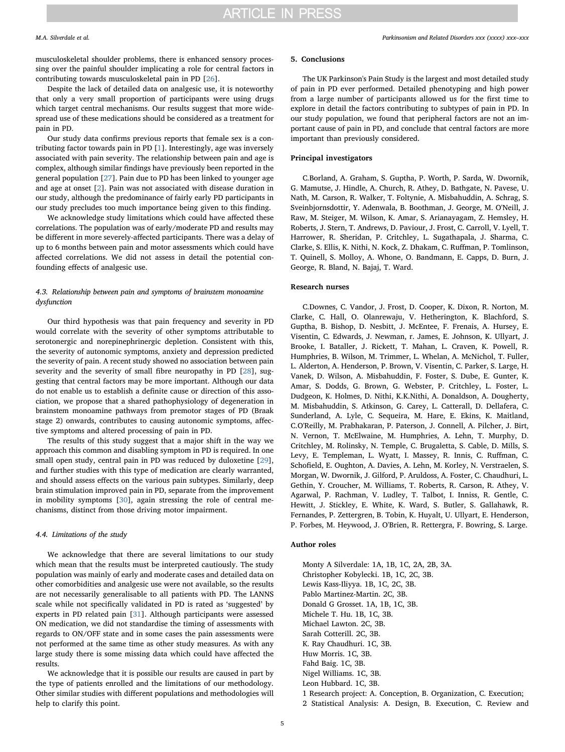musculoskeletal shoulder problems, there is enhanced sensory processing over the painful shoulder implicating a role for central factors in contributing towards musculoskeletal pain in PD [\[26](#page-6-24)].

Despite the lack of detailed data on analgesic use, it is noteworthy that only a very small proportion of participants were using drugs which target central mechanisms. Our results suggest that more widespread use of these medications should be considered as a treatment for pain in PD.

Our study data confirms previous reports that female sex is a contributing factor towards pain in PD [[1](#page-6-0)]. Interestingly, age was inversely associated with pain severity. The relationship between pain and age is complex, although similar findings have previously been reported in the general population [\[27](#page-6-25)]. Pain due to PD has been linked to younger age and age at onset [\[2\]](#page-6-2). Pain was not associated with disease duration in our study, although the predominance of fairly early PD participants in our study precludes too much importance being given to this finding.

We acknowledge study limitations which could have affected these correlations. The population was of early/moderate PD and results may be different in more severely-affected participants. There was a delay of up to 6 months between pain and motor assessments which could have affected correlations. We did not assess in detail the potential confounding effects of analgesic use.

## *4.3. Relationship between pain and symptoms of brainstem monoamine dysfunction*

Our third hypothesis was that pain frequency and severity in PD would correlate with the severity of other symptoms attributable to serotonergic and norepinephrinergic depletion. Consistent with this, the severity of autonomic symptoms, anxiety and depression predicted the severity of pain. A recent study showed no association between pain severity and the severity of small fibre neuropathy in PD [\[28](#page-6-26)], suggesting that central factors may be more important. Although our data do not enable us to establish a definite cause or direction of this association, we propose that a shared pathophysiology of degeneration in brainstem monoamine pathways from premotor stages of PD (Braak stage 2) onwards, contributes to causing autonomic symptoms, affective symptoms and altered processing of pain in PD.

The results of this study suggest that a major shift in the way we approach this common and disabling symptom in PD is required. In one small open study, central pain in PD was reduced by duloxetine [\[29](#page-6-27)], and further studies with this type of medication are clearly warranted, and should assess effects on the various pain subtypes. Similarly, deep brain stimulation improved pain in PD, separate from the improvement in mobility symptoms [[30\]](#page-6-28), again stressing the role of central mechanisms, distinct from those driving motor impairment.

#### *4.4. Limitations of the study*

We acknowledge that there are several limitations to our study which mean that the results must be interpreted cautiously. The study population was mainly of early and moderate cases and detailed data on other comorbidities and analgesic use were not available, so the results are not necessarily generalisable to all patients with PD. The LANNS scale while not specifically validated in PD is rated as 'suggested' by experts in PD related pain [\[31](#page-6-29)]. Although participants were assessed ON medication, we did not standardise the timing of assessments with regards to ON/OFF state and in some cases the pain assessments were not performed at the same time as other study measures. As with any large study there is some missing data which could have affected the results.

We acknowledge that it is possible our results are caused in part by the type of patients enrolled and the limitations of our methodology. Other similar studies with different populations and methodologies will help to clarify this point.

#### 5. Conclusions

The UK Parkinson's Pain Study is the largest and most detailed study of pain in PD ever performed. Detailed phenotyping and high power from a large number of participants allowed us for the first time to explore in detail the factors contributing to subtypes of pain in PD. In our study population, we found that peripheral factors are not an important cause of pain in PD, and conclude that central factors are more important than previously considered.

## Principal investigators

C.Borland, A. Graham, S. Guptha, P. Worth, P. Sarda, W. Dwornik, G. Mamutse, J. Hindle, A. Church, R. Athey, D. Bathgate, N. Pavese, U. Nath, M. Carson, R. Walker, T. Foltynie, A. Misbahuddin, A. Schrag, S. Sveinbjornsdottir, Y. Adenwala, B. Boothman, J. George, M. O'Neill, J. Raw, M. Steiger, M. Wilson, K. Amar, S. Arianayagam, Z. Hemsley, H. Roberts, J. Stern, T. Andrews, D. Paviour, J. Frost, C. Carroll, V. Lyell, T. Harrower, R. Sheridan, P. Critchley, L. Sugathapala, J. Sharma, C. Clarke, S. Ellis, K. Nithi, N. Kock, Z. Dhakam, C. Ruffman, P. Tomlinson, T. Quinell, S. Molloy, A. Whone, O. Bandmann, E. Capps, D. Burn, J. George, R. Bland, N. Bajaj, T. Ward.

#### Research nurses

C.Downes, C. Vandor, J. Frost, D. Cooper, K. Dixon, R. Norton, M. Clarke, C. Hall, O. Olanrewaju, V. Hetherington, K. Blachford, S. Guptha, B. Bishop, D. Nesbitt, J. McEntee, F. Frenais, A. Hursey, E. Visentin, C. Edwards, J. Newman, r. James, E. Johnson, K. Ullyart, J. Brooke, I. Bataller, J. Rickett, T. Mahan, L. Craven, K. Powell, R. Humphries, B. Wilson, M. Trimmer, L. Whelan, A. McNichol, T. Fuller, L. Alderton, A. Henderson, P. Brown, V. Visentin, C. Parker, S. Large, H. Vanek, D. Wilson, A. Misbahuddin, F. Foster, S. Dube, E. Gunter, K. Amar, S. Dodds, G. Brown, G. Webster, P. Critchley, L. Foster, L. Dudgeon, K. Holmes, D. Nithi, K.K.Nithi, A. Donaldson, A. Dougherty, M. Misbahuddin, S. Atkinson, G. Carey, L. Catterall, D. Dellafera, C. Sunderland, A. Lyle, C. Sequeira, M. Hare, E. Ekins, K. Maitland, C.O'Reilly, M. Prabhakaran, P. Paterson, J. Connell, A. Pilcher, J. Birt, N. Vernon, T. McElwaine, M. Humphries, A. Lehn, T. Murphy, D. Critchley, M. Rolinsky, N. Temple, C. Brugaletta, S. Cable, D. Mills, S. Levy, E. Templeman, L. Wyatt, I. Massey, R. Innis, C. Ruffman, C. Schofield, E. Oughton, A. Davies, A. Lehn, M. Korley, N. Verstraelen, S. Morgan, W. Dwornik, J. Gilford, P. Aruldoss, A. Foster, C. Chaudhuri, L. Gethin, Y. Croucher, M. Williams, T. Roberts, R. Carson, R. Athey, V. Agarwal, P. Rachman, V. Ludley, T. Talbot, I. Inniss, R. Gentle, C. Hewitt, J. Stickley, E. White, K. Ward, S. Butler, S. Gallahawk, R. Fernandes, P. Zettergren, B. Tobin, K. Huyalt, U. Ullyart, E. Henderson, P. Forbes, M. Heywood, J. O'Brien, R. Rettergra, F. Bowring, S. Large.

#### Author roles

Monty A Silverdale: 1A, 1B, 1C, 2A, 2B, 3A. Christopher Kobylecki. 1B, 1C, 2C, 3B. Lewis Kass-Iliyya. 1B, 1C, 2C, 3B. Pablo Martinez-Martin. 2C, 3B. Donald G Grosset. 1A, 1B, 1C, 3B. Michele T. Hu. 1B, 1C, 3B. Michael Lawton. 2C, 3B. Sarah Cotterill. 2C, 3B. K. Ray Chaudhuri. 1C, 3B. Huw Morris. 1C, 3B. Fahd Baig. 1C, 3B. Nigel Williams. 1C, 3B. Leon Hubbard. 1C, 3B. 1 Research project: A. Conception, B. Organization, C. Execution; 2 Statistical Analysis: A. Design, B. Execution, C. Review and